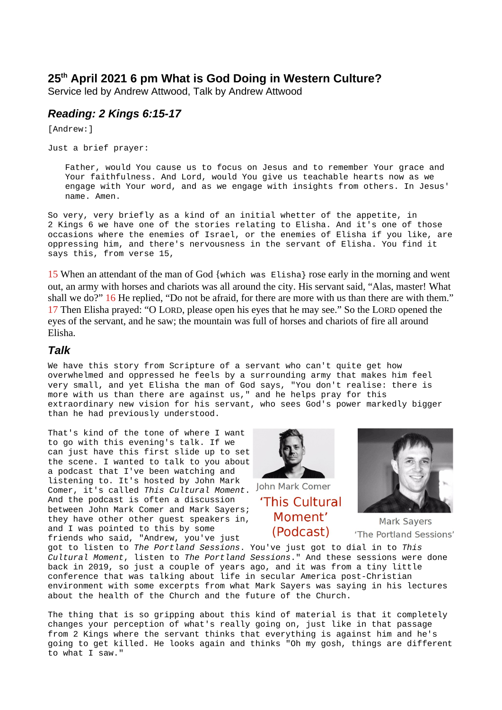## **25th April 2021 6 pm What is God Doing in Western Culture?**

Service led by Andrew Attwood, Talk by Andrew Attwood

## *Reading: 2 Kings 6:15-17*

[Andrew:]

Just a brief prayer:

Father, would You cause us to focus on Jesus and to remember Your grace and Your faithfulness. And Lord, would You give us teachable hearts now as we engage with Your word, and as we engage with insights from others. In Jesus' name. Amen.

So very, very briefly as a kind of an initial whetter of the appetite, in 2 Kings 6 we have one of the stories relating to Elisha. And it's one of those occasions where the enemies of Israel, or the enemies of Elisha if you like, are oppressing him, and there's nervousness in the servant of Elisha. You find it says this, from verse 15,

15 When an attendant of the man of God {which was Elisha} rose early in the morning and went out, an army with horses and chariots was all around the city. His servant said, "Alas, master! What shall we do?" 16 He replied, "Do not be afraid, for there are more with us than there are with them." 17 Then Elisha prayed: "O LORD, please open his eyes that he may see." So the LORD opened the eyes of the servant, and he saw; the mountain was full of horses and chariots of fire all around Elisha.

## *Talk*

We have this story from Scripture of a servant who can't quite get how overwhelmed and oppressed he feels by a surrounding army that makes him feel very small, and yet Elisha the man of God says, "You don't realise: there is more with us than there are against us," and he helps pray for this extraordinary new vision for his servant, who sees God's power markedly bigger than he had previously understood.

That's kind of the tone of where I want to go with this evening's talk. If we can just have this first slide up to set the scene. I wanted to talk to you about a podcast that I've been watching and listening to. It's hosted by John Mark Comer, it's called *This Cultural Moment*. And the podcast is often a discussion between John Mark Comer and Mark Sayers; they have other other guest speakers in, and I was pointed to this by some friends who said, "Andrew, you've just



John Mark Comer 'This Cultural Moment' (Podcast)



**Mark Sayers** 'The Portland Sessions'

got to listen to *The Portland Sessions*. You've just got to dial in to *This Cultural Moment*, listen to *The Portland Sessions*." And these sessions were done back in 2019, so just a couple of years ago, and it was from a tiny little conference that was talking about life in secular America post-Christian environment with some excerpts from what Mark Sayers was saying in his lectures about the health of the Church and the future of the Church.

The thing that is so gripping about this kind of material is that it completely changes your perception of what's really going on, just like in that passage from 2 Kings where the servant thinks that everything is against him and he's going to get killed. He looks again and thinks "Oh my gosh, things are different to what I saw."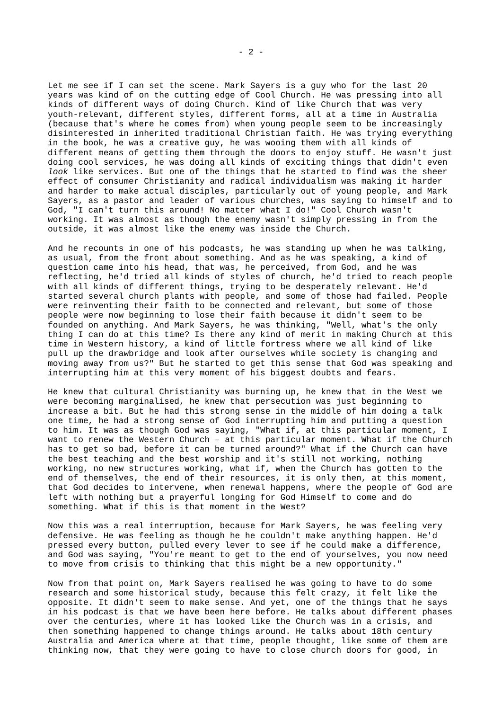Let me see if I can set the scene. Mark Sayers is a guy who for the last 20 years was kind of on the cutting edge of Cool Church. He was pressing into all kinds of different ways of doing Church. Kind of like Church that was very youth-relevant, different styles, different forms, all at a time in Australia (because that's where he comes from) when young people seem to be increasingly disinterested in inherited traditional Christian faith. He was trying everything in the book, he was a creative guy, he was wooing them with all kinds of different means of getting them through the doors to enjoy stuff. He wasn't just doing cool services, he was doing all kinds of exciting things that didn't even *look* like services. But one of the things that he started to find was the sheer effect of consumer Christianity and radical individualism was making it harder and harder to make actual disciples, particularly out of young people, and Mark Sayers, as a pastor and leader of various churches, was saying to himself and to God, "I can't turn this around! No matter what I do!" Cool Church wasn't working. It was almost as though the enemy wasn't simply pressing in from the outside, it was almost like the enemy was inside the Church.

And he recounts in one of his podcasts, he was standing up when he was talking, as usual, from the front about something. And as he was speaking, a kind of question came into his head, that was, he perceived, from God, and he was reflecting, he'd tried all kinds of styles of church, he'd tried to reach people with all kinds of different things, trying to be desperately relevant. He'd started several church plants with people, and some of those had failed. People were reinventing their faith to be connected and relevant, but some of those people were now beginning to lose their faith because it didn't seem to be founded on anything. And Mark Sayers, he was thinking, "Well, what's the only thing I can do at this time? Is there any kind of merit in making Church at this time in Western history, a kind of little fortress where we all kind of like pull up the drawbridge and look after ourselves while society is changing and moving away from us?" But he started to get this sense that God was speaking and interrupting him at this very moment of his biggest doubts and fears.

He knew that cultural Christianity was burning up, he knew that in the West we were becoming marginalised, he knew that persecution was just beginning to increase a bit. But he had this strong sense in the middle of him doing a talk one time, he had a strong sense of God interrupting him and putting a question to him. It was as though God was saying, "What if, at this particular moment, I want to renew the Western Church – at this particular moment. What if the Church has to get so bad, before it can be turned around?" What if the Church can have the best teaching and the best worship and it's still not working, nothing working, no new structures working, what if, when the Church has gotten to the end of themselves, the end of their resources, it is only then, at this moment, that God decides to intervene, when renewal happens, where the people of God are left with nothing but a prayerful longing for God Himself to come and do something. What if this is that moment in the West?

Now this was a real interruption, because for Mark Sayers, he was feeling very defensive. He was feeling as though he he couldn't make anything happen. He'd pressed every button, pulled every lever to see if he could make a difference, and God was saying, "You're meant to get to the end of yourselves, you now need to move from crisis to thinking that this might be a new opportunity."

Now from that point on, Mark Sayers realised he was going to have to do some research and some historical study, because this felt crazy, it felt like the opposite. It didn't seem to make sense. And yet, one of the things that he says in his podcast is that we have been here before. He talks about different phases over the centuries, where it has looked like the Church was in a crisis, and then something happened to change things around. He talks about 18th century Australia and America where at that time, people thought, like some of them are thinking now, that they were going to have to close church doors for good, in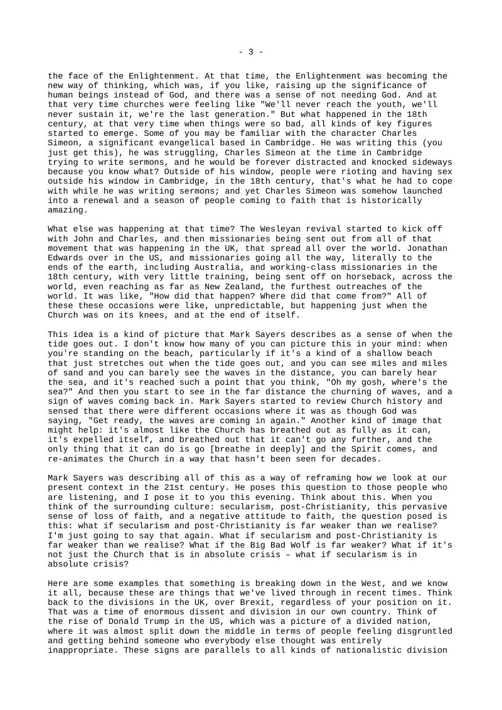the face of the Enlightenment. At that time, the Enlightenment was becoming the new way of thinking, which was, if you like, raising up the significance of human beings instead of God, and there was a sense of not needing God. And at that very time churches were feeling like "We'll never reach the youth, we'll never sustain it, we're the last generation." But what happened in the 18th century, at that very time when things were so bad, all kinds of key figures started to emerge. Some of you may be familiar with the character Charles Simeon, a significant evangelical based in Cambridge. He was writing this (you just get this), he was struggling, Charles Simeon at the time in Cambridge trying to write sermons, and he would be forever distracted and knocked sideways because you know what? Outside of his window, people were rioting and having sex outside his window in Cambridge, in the 18th century, that's what he had to cope with while he was writing sermons; and yet Charles Simeon was somehow launched into a renewal and a season of people coming to faith that is historically amazing.

What else was happening at that time? The Wesleyan revival started to kick off with John and Charles, and then missionaries being sent out from all of that movement that was happening in the UK, that spread all over the world. Jonathan Edwards over in the US, and missionaries going all the way, literally to the ends of the earth, including Australia, and working-class missionaries in the 18th century, with very little training, being sent off on horseback, across the world, even reaching as far as New Zealand, the furthest outreaches of the world. It was like, "How did that happen? Where did that come from?" All of these these occasions were like, unpredictable, but happening just when the Church was on its knees, and at the end of itself.

This idea is a kind of picture that Mark Sayers describes as a sense of when the tide goes out. I don't know how many of you can picture this in your mind: when you're standing on the beach, particularly if it's a kind of a shallow beach that just stretches out when the tide goes out, and you can see miles and miles of sand and you can barely see the waves in the distance, you can barely hear the sea, and it's reached such a point that you think, "Oh my gosh, where's the sea?" And then you start to see in the far distance the churning of waves, and a sign of waves coming back in. Mark Sayers started to review Church history and sensed that there were different occasions where it was as though God was saying, "Get ready, the waves are coming in again." Another kind of image that might help: it's almost like the Church has breathed out as fully as it can, it's expelled itself, and breathed out that it can't go any further, and the only thing that it can do is go [breathe in deeply] and the Spirit comes, and re-animates the Church in a way that hasn't been seen for decades.

Mark Sayers was describing all of this as a way of reframing how we look at our present context in the 21st century. He poses this question to those people who are listening, and I pose it to you this evening. Think about this. When you think of the surrounding culture: secularism, post-Christianity, this pervasive sense of loss of faith, and a negative attitude to faith, the question posed is this: what if secularism and post-Christianity is far weaker than we realise? I'm just going to say that again. What if secularism and post-Christianity is far weaker than we realise? What if the Big Bad Wolf is far weaker? What if it's not just the Church that is in absolute crisis – what if secularism is in absolute crisis?

Here are some examples that something is breaking down in the West, and we know it all, because these are things that we've lived through in recent times. Think back to the divisions in the UK, over Brexit, regardless of your position on it. That was a time of enormous dissent and division in our own country. Think of the rise of Donald Trump in the US, which was a picture of a divided nation, where it was almost split down the middle in terms of people feeling disgruntled and getting behind someone who everybody else thought was entirely inappropriate. These signs are parallels to all kinds of nationalistic division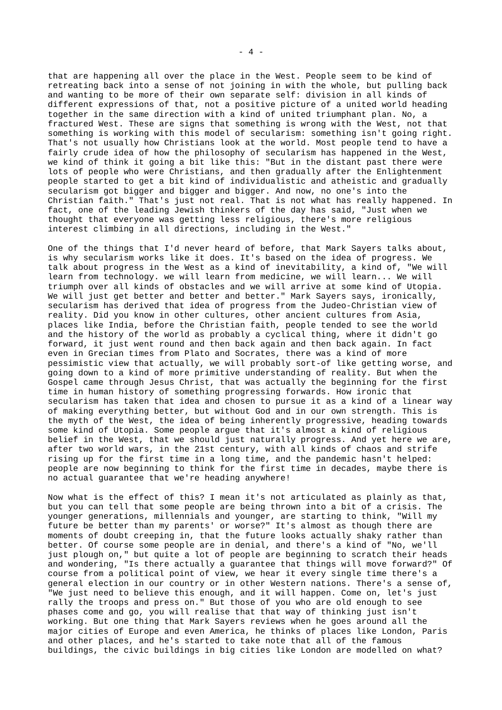that are happening all over the place in the West. People seem to be kind of retreating back into a sense of not joining in with the whole, but pulling back and wanting to be more of their own separate self: division in all kinds of different expressions of that, not a positive picture of a united world heading together in the same direction with a kind of united triumphant plan. No, a fractured West. These are signs that something is wrong with the West, not that something is working with this model of secularism: something isn't going right. That's not usually how Christians look at the world. Most people tend to have a fairly crude idea of how the philosophy of secularism has happened in the West, we kind of think it going a bit like this: "But in the distant past there were lots of people who were Christians, and then gradually after the Enlightenment people started to get a bit kind of individualistic and atheistic and gradually secularism got bigger and bigger and bigger. And now, no one's into the Christian faith." That's just not real. That is not what has really happened. In fact, one of the leading Jewish thinkers of the day has said, "Just when we thought that everyone was getting less religious, there's more religious interest climbing in all directions, including in the West."

One of the things that I'd never heard of before, that Mark Sayers talks about, is why secularism works like it does. It's based on the idea of progress. We talk about progress in the West as a kind of inevitability, a kind of, "We will learn from technology. we will learn from medicine, we will learn... We will triumph over all kinds of obstacles and we will arrive at some kind of Utopia. We will just get better and better and better." Mark Sayers says, ironically, secularism has derived that idea of progress from the Judeo-Christian view of reality. Did you know in other cultures, other ancient cultures from Asia, places like India, before the Christian faith, people tended to see the world and the history of the world as probably a cyclical thing, where it didn't go forward, it just went round and then back again and then back again. In fact even in Grecian times from Plato and Socrates, there was a kind of more pessimistic view that actually, we will probably sort-of like getting worse, and going down to a kind of more primitive understanding of reality. But when the Gospel came through Jesus Christ, that was actually the beginning for the first time in human history of something progressing forwards. How ironic that secularism has taken that idea and chosen to pursue it as a kind of a linear way of making everything better, but without God and in our own strength. This is the myth of the West, the idea of being inherently progressive, heading towards some kind of Utopia. Some people argue that it's almost a kind of religious belief in the West, that we should just naturally progress. And yet here we are, after two world wars, in the 21st century, with all kinds of chaos and strife rising up for the first time in a long time, and the pandemic hasn't helped: people are now beginning to think for the first time in decades, maybe there is no actual guarantee that we're heading anywhere!

Now what is the effect of this? I mean it's not articulated as plainly as that, but you can tell that some people are being thrown into a bit of a crisis. The younger generations, millennials and younger, are starting to think, "Will my future be better than my parents' or worse?" It's almost as though there are moments of doubt creeping in, that the future looks actually shaky rather than better. Of course some people are in denial, and there's a kind of "No, we'll just plough on," but quite a lot of people are beginning to scratch their heads and wondering, "Is there actually a guarantee that things will move forward?" Of course from a political point of view, we hear it every single time there's a general election in our country or in other Western nations. There's a sense of, "We just need to believe this enough, and it will happen. Come on, let's just rally the troops and press on." But those of you who are old enough to see phases come and go, you will realise that that way of thinking just isn't working. But one thing that Mark Sayers reviews when he goes around all the major cities of Europe and even America, he thinks of places like London, Paris and other places, and he's started to take note that all of the famous buildings, the civic buildings in big cities like London are modelled on what?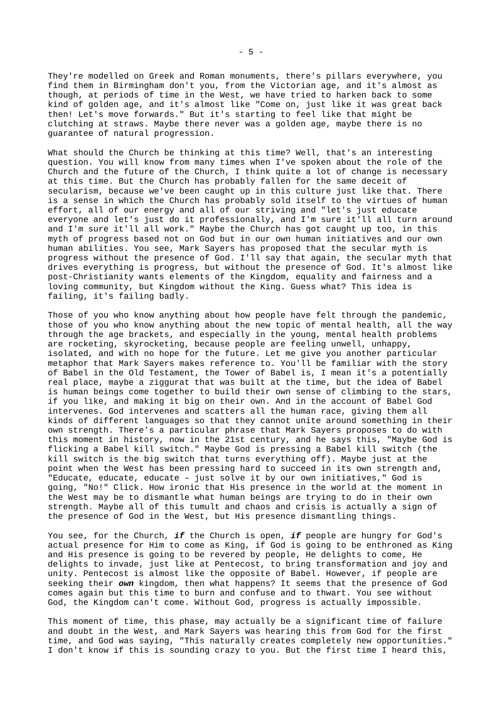They're modelled on Greek and Roman monuments, there's pillars everywhere, you find them in Birmingham don't you, from the Victorian age, and it's almost as though, at periods of time in the West, we have tried to harken back to some kind of golden age, and it's almost like "Come on, just like it was great back then! Let's move forwards." But it's starting to feel like that might be clutching at straws. Maybe there never was a golden age, maybe there is no guarantee of natural progression.

What should the Church be thinking at this time? Well, that's an interesting question. You will know from many times when I've spoken about the role of the Church and the future of the Church, I think quite a lot of change is necessary at this time. But the Church has probably fallen for the same deceit of secularism, because we've been caught up in this culture just like that. There is a sense in which the Church has probably sold itself to the virtues of human effort, all of our energy and all of our striving and "let's just educate everyone and let's just do it professionally, and I'm sure it'll all turn around and I'm sure it'll all work." Maybe the Church has got caught up too, in this myth of progress based not on God but in our own human initiatives and our own human abilities. You see, Mark Sayers has proposed that the secular myth is progress without the presence of God. I'll say that again, the secular myth that drives everything is progress, but without the presence of God. It's almost like post-Christianity wants elements of the Kingdom, equality and fairness and a loving community, but Kingdom without the King. Guess what? This idea is failing, it's failing badly.

Those of you who know anything about how people have felt through the pandemic, those of you who know anything about the new topic of mental health, all the way through the age brackets, and especially in the young, mental health problems are rocketing, skyrocketing, because people are feeling unwell, unhappy, isolated, and with no hope for the future. Let me give you another particular metaphor that Mark Sayers makes reference to. You'll be familiar with the story of Babel in the Old Testament, the Tower of Babel is, I mean it's a potentially real place, maybe a ziggurat that was built at the time, but the idea of Babel is human beings come together to build their own sense of climbing to the stars, if you like, and making it big on their own. And in the account of Babel God intervenes. God intervenes and scatters all the human race, giving them all kinds of different languages so that they cannot unite around something in their own strength. There's a particular phrase that Mark Sayers proposes to do with this moment in history, now in the 21st century, and he says this, "Maybe God is flicking a Babel kill switch." Maybe God is pressing a Babel kill switch (the kill switch is the big switch that turns everything off). Maybe just at the point when the West has been pressing hard to succeed in its own strength and, "Educate, educate, educate – just solve it by our own initiatives," God is going, "No!" Click. How ironic that His presence in the world at the moment in the West may be to dismantle what human beings are trying to do in their own strength. Maybe all of this tumult and chaos and crisis is actually a sign of the presence of God in the West, but His presence dismantling things.

You see, for the Church, *if* the Church is open, *if* people are hungry for God's actual presence for Him to come as King, if God is going to be enthroned as King and His presence is going to be revered by people, He delights to come, He delights to invade, just like at Pentecost, to bring transformation and joy and unity. Pentecost is almost like the opposite of Babel. However, if people are seeking their *own* kingdom, then what happens? It seems that the presence of God comes again but this time to burn and confuse and to thwart. You see without God, the Kingdom can't come. Without God, progress is actually impossible.

This moment of time, this phase, may actually be a significant time of failure and doubt in the West, and Mark Sayers was hearing this from God for the first time, and God was saying, "This naturally creates completely new opportunities." I don't know if this is sounding crazy to you. But the first time I heard this,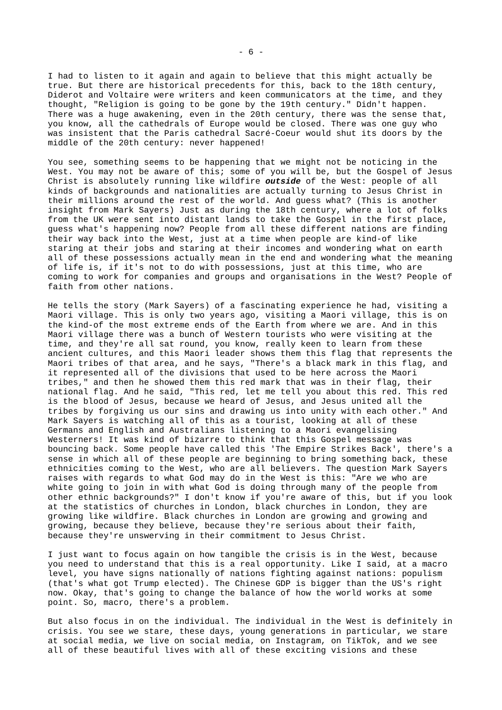I had to listen to it again and again to believe that this might actually be true. But there are historical precedents for this, back to the 18th century, Diderot and Voltaire were writers and keen communicators at the time, and they thought, "Religion is going to be gone by the 19th century." Didn't happen. There was a huge awakening, even in the 20th century, there was the sense that, you know, all the cathedrals of Europe would be closed. There was one guy who was insistent that the Paris cathedral Sacré-Coeur would shut its doors by the middle of the 20th century: never happened!

You see, something seems to be happening that we might not be noticing in the West. You may not be aware of this; some of you will be, but the Gospel of Jesus Christ is absolutely running like wildfire *outside* of the West: people of all kinds of backgrounds and nationalities are actually turning to Jesus Christ in their millions around the rest of the world. And guess what? (This is another insight from Mark Sayers) Just as during the 18th century, where a lot of folks from the UK were sent into distant lands to take the Gospel in the first place, guess what's happening now? People from all these different nations are finding their way back into the West, just at a time when people are kind-of like staring at their jobs and staring at their incomes and wondering what on earth all of these possessions actually mean in the end and wondering what the meaning of life is, if it's not to do with possessions, just at this time, who are coming to work for companies and groups and organisations in the West? People of faith from other nations.

He tells the story (Mark Sayers) of a fascinating experience he had, visiting a Maori village. This is only two years ago, visiting a Maori village, this is on the kind-of the most extreme ends of the Earth from where we are. And in this Maori village there was a bunch of Western tourists who were visiting at the time, and they're all sat round, you know, really keen to learn from these ancient cultures, and this Maori leader shows them this flag that represents the Maori tribes of that area, and he says, "There's a black mark in this flag, and it represented all of the divisions that used to be here across the Maori tribes," and then he showed them this red mark that was in their flag, their national flag. And he said, "This red, let me tell you about this red. This red is the blood of Jesus, because we heard of Jesus, and Jesus united all the tribes by forgiving us our sins and drawing us into unity with each other." And Mark Sayers is watching all of this as a tourist, looking at all of these Germans and English and Australians listening to a Maori evangelising Westerners! It was kind of bizarre to think that this Gospel message was bouncing back. Some people have called this 'The Empire Strikes Back', there's a sense in which all of these people are beginning to bring something back, these ethnicities coming to the West, who are all believers. The question Mark Sayers raises with regards to what God may do in the West is this: "Are we who are white going to join in with what God is doing through many of the people from other ethnic backgrounds?" I don't know if you're aware of this, but if you look at the statistics of churches in London, black churches in London, they are growing like wildfire. Black churches in London are growing and growing and growing, because they believe, because they're serious about their faith, because they're unswerving in their commitment to Jesus Christ.

I just want to focus again on how tangible the crisis is in the West, because you need to understand that this is a real opportunity. Like I said, at a macro level, you have signs nationally of nations fighting against nations: populism (that's what got Trump elected). The Chinese GDP is bigger than the US's right now. Okay, that's going to change the balance of how the world works at some point. So, macro, there's a problem.

But also focus in on the individual. The individual in the West is definitely in crisis. You see we stare, these days, young generations in particular, we stare at social media, we live on social media, on Instagram, on TikTok, and we see all of these beautiful lives with all of these exciting visions and these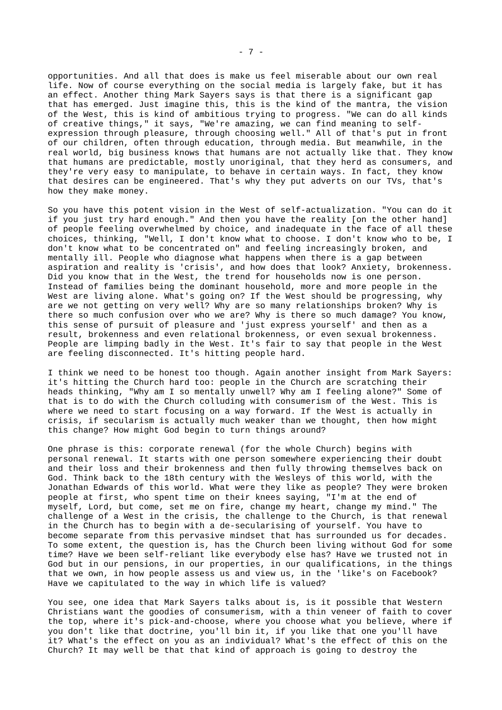opportunities. And all that does is make us feel miserable about our own real life. Now of course everything on the social media is largely fake, but it has an effect. Another thing Mark Sayers says is that there is a significant gap that has emerged. Just imagine this, this is the kind of the mantra, the vision of the West, this is kind of ambitious trying to progress. "We can do all kinds of creative things," it says, "We're amazing, we can find meaning to selfexpression through pleasure, through choosing well." All of that's put in front of our children, often through education, through media. But meanwhile, in the real world, big business knows that humans are not actually like that. They know that humans are predictable, mostly unoriginal, that they herd as consumers, and they're very easy to manipulate, to behave in certain ways. In fact, they know that desires can be engineered. That's why they put adverts on our TVs, that's how they make money.

So you have this potent vision in the West of self-actualization. "You can do it if you just try hard enough." And then you have the reality [on the other hand] of people feeling overwhelmed by choice, and inadequate in the face of all these choices, thinking, "Well, I don't know what to choose. I don't know who to be, I don't know what to be concentrated on" and feeling increasingly broken, and mentally ill. People who diagnose what happens when there is a gap between aspiration and reality is 'crisis', and how does that look? Anxiety, brokenness. Did you know that in the West, the trend for households now is one person. Instead of families being the dominant household, more and more people in the West are living alone. What's going on? If the West should be progressing, why are we not getting on very well? Why are so many relationships broken? Why is there so much confusion over who we are? Why is there so much damage? You know, this sense of pursuit of pleasure and 'just express yourself' and then as a result, brokenness and even relational brokenness, or even sexual brokenness. People are limping badly in the West. It's fair to say that people in the West are feeling disconnected. It's hitting people hard.

I think we need to be honest too though. Again another insight from Mark Sayers: it's hitting the Church hard too: people in the Church are scratching their heads thinking, "Why am I so mentally unwell? Why am I feeling alone?" Some of that is to do with the Church colluding with consumerism of the West. This is where we need to start focusing on a way forward. If the West is actually in crisis, if secularism is actually much weaker than we thought, then how might this change? How might God begin to turn things around?

One phrase is this: corporate renewal (for the whole Church) begins with personal renewal. It starts with one person somewhere experiencing their doubt and their loss and their brokenness and then fully throwing themselves back on God. Think back to the 18th century with the Wesleys of this world, with the Jonathan Edwards of this world. What were they like as people? They were broken people at first, who spent time on their knees saying, "I'm at the end of myself, Lord, but come, set me on fire, change my heart, change my mind." The challenge of a West in the crisis, the challenge to the Church, is that renewal in the Church has to begin with a de-secularising of yourself. You have to become separate from this pervasive mindset that has surrounded us for decades. To some extent, the question is, has the Church been living without God for some time? Have we been self-reliant like everybody else has? Have we trusted not in God but in our pensions, in our properties, in our qualifications, in the things that we own, in how people assess us and view us, in the 'like's on Facebook? Have we capitulated to the way in which life is valued?

You see, one idea that Mark Sayers talks about is, is it possible that Western Christians want the goodies of consumerism, with a thin veneer of faith to cover the top, where it's pick-and-choose, where you choose what you believe, where if you don't like that doctrine, you'll bin it, if you like that one you'll have it? What's the effect on you as an individual? What's the effect of this on the Church? It may well be that that kind of approach is going to destroy the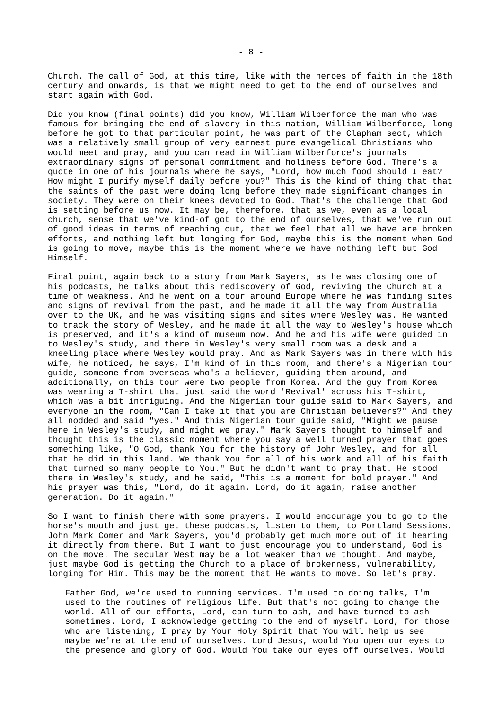Church. The call of God, at this time, like with the heroes of faith in the 18th century and onwards, is that we might need to get to the end of ourselves and start again with God.

Did you know (final points) did you know, William Wilberforce the man who was famous for bringing the end of slavery in this nation, William Wilberforce, long before he got to that particular point, he was part of the Clapham sect, which was a relatively small group of very earnest pure evangelical Christians who would meet and pray, and you can read in William Wilberforce's journals extraordinary signs of personal commitment and holiness before God. There's a quote in one of his journals where he says, "Lord, how much food should I eat? How might I purify myself daily before you?" This is the kind of thing that that the saints of the past were doing long before they made significant changes in society. They were on their knees devoted to God. That's the challenge that God is setting before us now. It may be, therefore, that as we, even as a local church, sense that we've kind-of got to the end of ourselves, that we've run out of good ideas in terms of reaching out, that we feel that all we have are broken efforts, and nothing left but longing for God, maybe this is the moment when God is going to move, maybe this is the moment where we have nothing left but God Himself.

Final point, again back to a story from Mark Sayers, as he was closing one of his podcasts, he talks about this rediscovery of God, reviving the Church at a time of weakness. And he went on a tour around Europe where he was finding sites and signs of revival from the past, and he made it all the way from Australia over to the UK, and he was visiting signs and sites where Wesley was. He wanted to track the story of Wesley, and he made it all the way to Wesley's house which is preserved, and it's a kind of museum now. And he and his wife were guided in to Wesley's study, and there in Wesley's very small room was a desk and a kneeling place where Wesley would pray. And as Mark Sayers was in there with his wife, he noticed, he says, I'm kind of in this room, and there's a Nigerian tour guide, someone from overseas who's a believer, guiding them around, and additionally, on this tour were two people from Korea. And the guy from Korea was wearing a T-shirt that just said the word 'Revival' across his T-shirt, which was a bit intriguing. And the Nigerian tour guide said to Mark Sayers, and everyone in the room, "Can I take it that you are Christian believers?" And they all nodded and said "yes." And this Nigerian tour guide said, "Might we pause here in Wesley's study, and might we pray." Mark Sayers thought to himself and thought this is the classic moment where you say a well turned prayer that goes something like, "O God, thank You for the history of John Wesley, and for all that he did in this land. We thank You for all of his work and all of his faith that turned so many people to You." But he didn't want to pray that. He stood there in Wesley's study, and he said, "This is a moment for bold prayer." And his prayer was this, "Lord, do it again. Lord, do it again, raise another generation. Do it again."

So I want to finish there with some prayers. I would encourage you to go to the horse's mouth and just get these podcasts, listen to them, to Portland Sessions, John Mark Comer and Mark Sayers, you'd probably get much more out of it hearing it directly from there. But I want to just encourage you to understand, God is on the move. The secular West may be a lot weaker than we thought. And maybe, just maybe God is getting the Church to a place of brokenness, vulnerability, longing for Him. This may be the moment that He wants to move. So let's pray.

Father God, we're used to running services. I'm used to doing talks, I'm used to the routines of religious life. But that's not going to change the world. All of our efforts, Lord, can turn to ash, and have turned to ash sometimes. Lord, I acknowledge getting to the end of myself. Lord, for those who are listening, I pray by Your Holy Spirit that You will help us see maybe we're at the end of ourselves. Lord Jesus, would You open our eyes to the presence and glory of God. Would You take our eyes off ourselves. Would